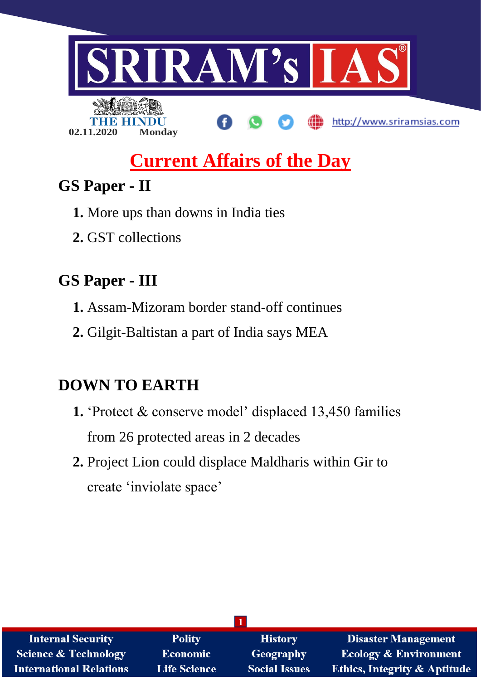

# **Current Affairs of the Day**

# **GS Paper - II**

- **1.** More ups than downs in India ties
- **2.** GST collections

# **GS Paper - III**

- **1.** Assam-Mizoram border stand-off continues
- **2.** Gilgit-Baltistan a part of India says MEA

# **DOWN TO EARTH**

- **1.** 'Protect & conserve model' displaced 13,450 families from 26 protected areas in 2 decades
- **2.** Project Lion could displace Maldharis within Gir to create 'inviolate space'

| <b>Internal Security</b>       | <b>Polity</b>       | <b>History</b>       | <b>Disaster Management</b>              |  |
|--------------------------------|---------------------|----------------------|-----------------------------------------|--|
| Science & Technology           | <b>Economic</b>     | <b>Geography</b>     | <b>Ecology &amp; Environment</b>        |  |
| <b>International Relations</b> | <b>Life Science</b> | <b>Social Issues</b> | <b>Ethics, Integrity &amp; Aptitude</b> |  |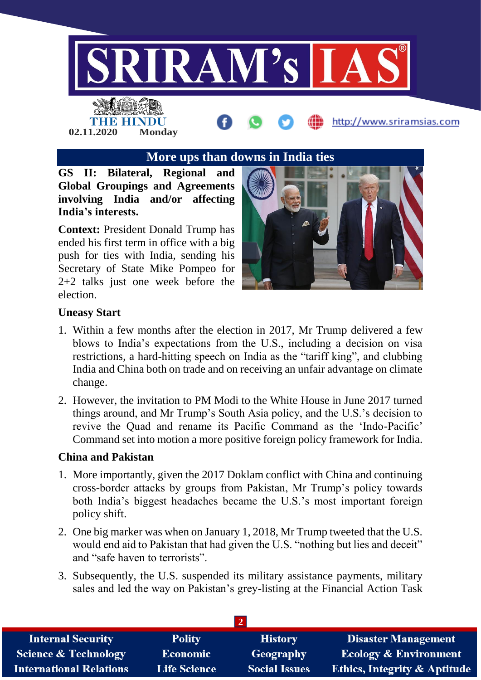

# **More ups than downs in India ties**

**GS II: Bilateral, Regional and Global Groupings and Agreements involving India and/or affecting India's interests.**

**02.11.2020 Monday**

**Context:** President Donald Trump has ended his first term in office with a big push for ties with India, sending his Secretary of State Mike Pompeo for 2+2 talks just one week before the election.



#### **Uneasy Start**

- 1. Within a few months after the election in 2017, Mr Trump delivered a few blows to India's expectations from the U.S., including a decision on visa restrictions, a hard-hitting speech on India as the "tariff king", and clubbing India and China both on trade and on receiving an unfair advantage on climate change.
- 2. However, the invitation to PM Modi to the White House in June 2017 turned things around, and Mr Trump's South Asia policy, and the U.S.'s decision to revive the Quad and rename its Pacific Command as the 'Indo-Pacific' Command set into motion a more positive foreign policy framework for India.

#### **China and Pakistan**

- 1. More importantly, given the 2017 Doklam conflict with China and continuing cross-border attacks by groups from Pakistan, Mr Trump's policy towards both India's biggest headaches became the U.S.'s most important foreign policy shift.
- 2. One big marker was when on January 1, 2018, Mr Trump tweeted that the U.S. would end aid to Pakistan that had given the U.S. "nothing but lies and deceit" and "safe haven to terrorists".
- 3. Subsequently, the U.S. suspended its military assistance payments, military sales and led the way on Pakistan's grey-listing at the Financial Action Task

| <b>Internal Security</b>       | <b>Polity</b>       | <b>History</b>       | <b>Disaster Management</b>              |  |  |
|--------------------------------|---------------------|----------------------|-----------------------------------------|--|--|
| Science & Technology           | <b>Economic</b>     | Geography            | <b>Ecology &amp; Environment</b>        |  |  |
| <b>International Relations</b> | <b>Life Science</b> | <b>Social Issues</b> | <b>Ethics, Integrity &amp; Aptitude</b> |  |  |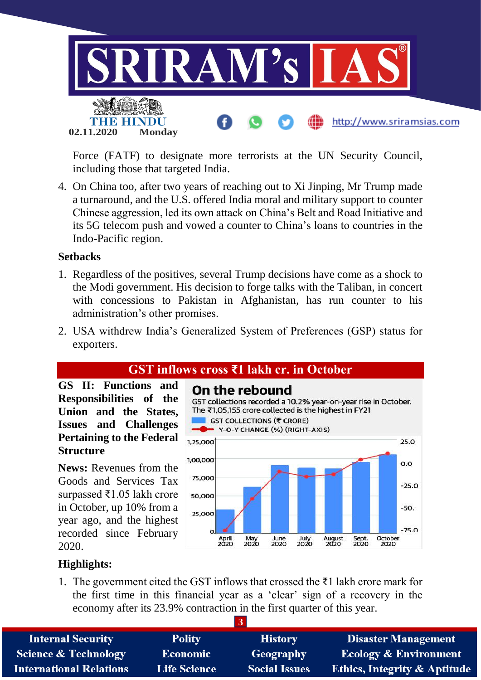

Force (FATF) to designate more terrorists at the UN Security Council, including those that targeted India.

4. On China too, after two years of reaching out to Xi Jinping, Mr Trump made a turnaround, and the U.S. offered India moral and military support to counter Chinese aggression, led its own attack on China's Belt and Road Initiative and its 5G telecom push and vowed a counter to China's loans to countries in the Indo-Pacific region.

#### **Setbacks**

- 1. Regardless of the positives, several Trump decisions have come as a shock to the Modi government. His decision to forge talks with the Taliban, in concert with concessions to Pakistan in Afghanistan, has run counter to his administration's other promises.
- 2. USA withdrew India's Generalized System of Preferences (GSP) status for exporters.

# **GST inflows cross ₹1 lakh cr. in October**

**GS II: Functions and Responsibilities of the Union and the States, Issues and Challenges Pertaining to the Federal Structure**

**News:** Revenues from the Goods and Services Tax surpassed ₹1.05 lakh crore in October, up 10% from a year ago, and the highest recorded since February 2020.



# **Highlights:**

1. The government cited the GST inflows that crossed the  $\overline{z}1$  lakh crore mark for the first time in this financial year as a 'clear' sign of a recovery in the economy after its 23.9% contraction in the first quarter of this year.

| <b>Internal Security</b>        | <b>Polity</b>       | <b>History</b>       | <b>Disaster Management</b>              |  |  |
|---------------------------------|---------------------|----------------------|-----------------------------------------|--|--|
| <b>Science &amp; Technology</b> | <b>Economic</b>     | Geography            | <b>Ecology &amp; Environment</b>        |  |  |
| <b>International Relations</b>  | <b>Life Science</b> | <b>Social Issues</b> | <b>Ethics, Integrity &amp; Aptitude</b> |  |  |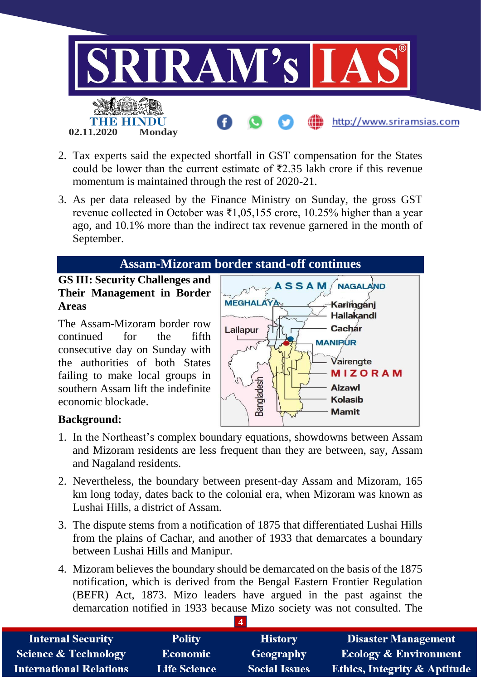

- 2. Tax experts said the expected shortfall in GST compensation for the States could be lower than the current estimate of  $\overline{22.35}$  lakh crore if this revenue momentum is maintained through the rest of 2020-21.
- 3. As per data released by the Finance Ministry on Sunday, the gross GST revenue collected in October was  $\bar{x}1,05,155$  crore, 10.25% higher than a year ago, and 10.1% more than the indirect tax revenue garnered in the month of September.

# **Assam-Mizoram border stand-off continues**

# **GS III: Security Challenges and Their Management in Border Areas**

The Assam-Mizoram border row continued for the fifth consecutive day on Sunday with the authorities of both States failing to make local groups in southern Assam lift the indefinite economic blockade.



# **Background:**

- 1. In the Northeast's complex boundary equations, showdowns between Assam and Mizoram residents are less frequent than they are between, say, Assam and Nagaland residents.
- 2. Nevertheless, the boundary between present-day Assam and Mizoram, 165 km long today, dates back to the colonial era, when Mizoram was known as Lushai Hills, a district of Assam.
- 3. The dispute stems from a notification of 1875 that differentiated Lushai Hills from the plains of Cachar, and another of 1933 that demarcates a boundary between Lushai Hills and Manipur.
- 4. Mizoram believes the boundary should be demarcated on the basis of the 1875 notification, which is derived from the Bengal Eastern Frontier Regulation (BEFR) Act, 1873. Mizo leaders have argued in the past against the demarcation notified in 1933 because Mizo society was not consulted. The

| <b>Internal Security</b>        | <b>Polity</b>       | <b>History</b>       | <b>Disaster Management</b>              |
|---------------------------------|---------------------|----------------------|-----------------------------------------|
| <b>Science &amp; Technology</b> | <b>Economic</b>     | Geography            | <b>Ecology &amp; Environment</b>        |
| <b>International Relations</b>  | <b>Life Science</b> | <b>Social Issues</b> | <b>Ethics, Integrity &amp; Aptitude</b> |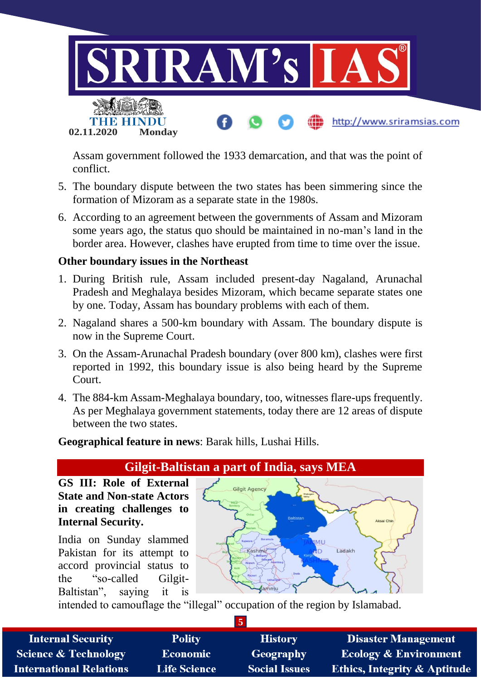

Assam government followed the 1933 demarcation, and that was the point of conflict.

- 5. The boundary dispute between the two states has been simmering since the formation of Mizoram as a separate state in the 1980s.
- 6. According to an agreement between the governments of Assam and Mizoram some years ago, the status quo should be maintained in no-man's land in the border area. However, clashes have erupted from time to time over the issue.

#### **Other boundary issues in the Northeast**

- 1. During British rule, Assam included present-day Nagaland, Arunachal Pradesh and Meghalaya besides Mizoram, which became separate states one by one. Today, Assam has boundary problems with each of them.
- 2. Nagaland shares a 500-km boundary with Assam. The boundary dispute is now in the Supreme Court.
- 3. On the Assam-Arunachal Pradesh boundary (over 800 km), clashes were first reported in 1992, this boundary issue is also being heard by the Supreme Court.
- 4. The 884-km Assam-Meghalaya boundary, too, witnesses flare-ups frequently. As per Meghalaya government statements, today there are 12 areas of dispute between the two states.

**Geographical feature in news**: Barak hills, Lushai Hills.

# **Gilgit-Baltistan a part of India, says MEA**

**GS III: Role of External State and Non-state Actors in creating challenges to Internal Security.**

India on Sunday slammed Pakistan for its attempt to accord provincial status to the "so-called Gilgit-Baltistan", saying it is



intended to camouflage the "illegal" occupation of the region by Islamabad.

| <b>Internal Security</b>        | <b>Polity</b>       | <b>History</b>       | <b>Disaster Management</b>              |  |  |
|---------------------------------|---------------------|----------------------|-----------------------------------------|--|--|
| <b>Science &amp; Technology</b> | <b>Economic</b>     | Geography            | <b>Ecology &amp; Environment</b>        |  |  |
| <b>International Relations</b>  | <b>Life Science</b> | <b>Social Issues</b> | <b>Ethics, Integrity &amp; Aptitude</b> |  |  |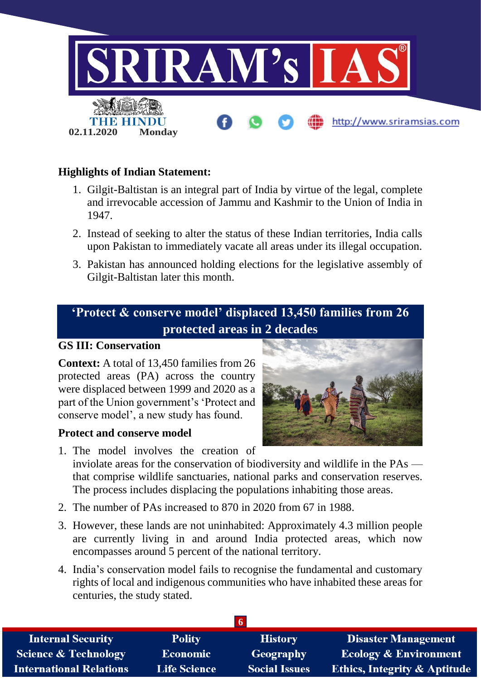

# **Highlights of Indian Statement:**

- 1. Gilgit-Baltistan is an integral part of India by virtue of the legal, complete and irrevocable accession of Jammu and Kashmir to the Union of India in 1947.
- 2. Instead of seeking to alter the status of these Indian territories, India calls upon Pakistan to immediately vacate all areas under its illegal occupation.
- 3. Pakistan has announced holding elections for the legislative assembly of Gilgit-Baltistan later this month.

# **'Protect & conserve model' displaced 13,450 families from 26 protected areas in 2 decades**

#### **GS III: Conservation**

**Context:** A total of 13,450 families from 26 protected areas (PA) across the country were displaced between 1999 and 2020 as a part of the Union government's 'Protect and conserve model', a new study has found.

#### **Protect and conserve model**



- 1. The model involves the creation of inviolate areas for the conservation of biodiversity and wildlife in the PAs that comprise wildlife sanctuaries, national parks and conservation reserves. The process includes displacing the populations inhabiting those areas.
- 2. The number of PAs increased to 870 in 2020 from 67 in 1988.
- 3. However, these lands are not uninhabited: Approximately 4.3 million people are currently living in and around India protected areas, which now encompasses around 5 percent of the national territory.
- 4. India's conservation model fails to recognise the fundamental and customary rights of local and indigenous communities who have inhabited these areas for centuries, the study stated.

| <b>Internal Security</b>        | <b>Polity</b>       | <b>History</b>       | <b>Disaster Management</b>              |
|---------------------------------|---------------------|----------------------|-----------------------------------------|
| <b>Science &amp; Technology</b> | <b>Economic</b>     | Geography            | <b>Ecology &amp; Environment</b>        |
| <b>International Relations</b>  | <b>Life Science</b> | <b>Social Issues</b> | <b>Ethics, Integrity &amp; Aptitude</b> |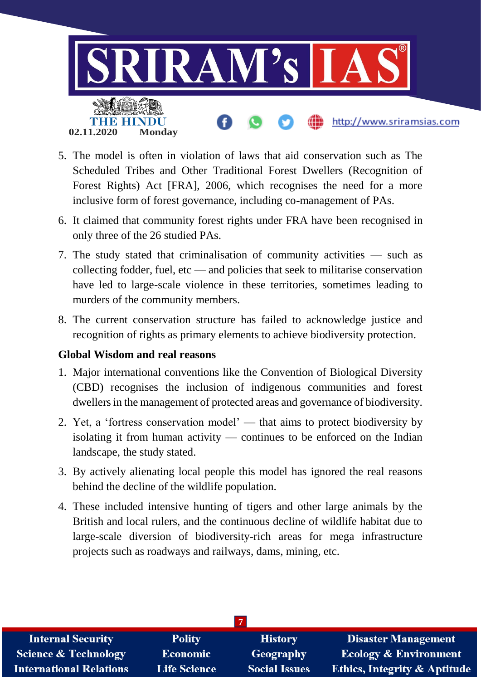

- 5. The model is often in violation of laws that aid conservation such as The Scheduled Tribes and Other Traditional Forest Dwellers (Recognition of Forest Rights) Act [FRA], 2006, which recognises the need for a more inclusive form of forest governance, including co-management of PAs.
- 6. It claimed that community forest rights under FRA have been recognised in only three of the 26 studied PAs.
- 7. The study stated that criminalisation of community activities such as collecting fodder, fuel, etc — and policies that seek to militarise conservation have led to large-scale violence in these territories, sometimes leading to murders of the community members.
- 8. The current conservation structure has failed to acknowledge justice and recognition of rights as primary elements to achieve biodiversity protection.

# **Global Wisdom and real reasons**

- 1. Major international conventions like the Convention of Biological Diversity (CBD) recognises the inclusion of indigenous communities and forest dwellers in the management of protected areas and governance of biodiversity.
- 2. Yet, a 'fortress conservation model' that aims to protect biodiversity by isolating it from human activity — continues to be enforced on the Indian landscape, the study stated.
- 3. By actively alienating local people this model has ignored the real reasons behind the decline of the wildlife population.
- 4. These included intensive hunting of tigers and other large animals by the British and local rulers, and the continuous decline of wildlife habitat due to large-scale diversion of biodiversity-rich areas for mega infrastructure projects such as roadways and railways, dams, mining, etc.

| <b>Internal Security</b>        | <b>Polity</b>       | <b>History</b>       | <b>Disaster Management</b>              |  |  |
|---------------------------------|---------------------|----------------------|-----------------------------------------|--|--|
| <b>Science &amp; Technology</b> | Economic            | Geography            | <b>Ecology &amp; Environment</b>        |  |  |
| <b>International Relations</b>  | <b>Life Science</b> | <b>Social Issues</b> | <b>Ethics, Integrity &amp; Aptitude</b> |  |  |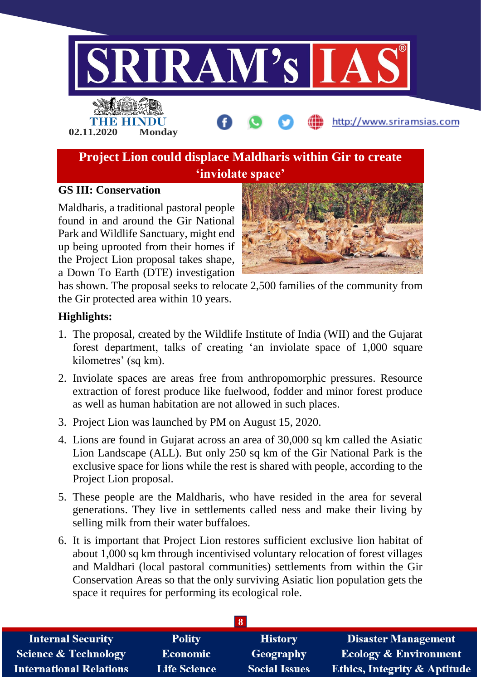

#### **GS III: Conservation**

Maldharis, a traditional pastoral people found in and around the Gir National Park and Wildlife Sanctuary, might end up being uprooted from their homes if the Project Lion proposal takes shape, a Down To Earth (DTE) investigation



has shown. The proposal seeks to relocate 2,500 families of the community from the Gir protected area within 10 years.

#### **Highlights:**

- 1. The proposal, created by the Wildlife Institute of India (WII) and the Gujarat forest department, talks of creating 'an inviolate space of 1,000 square kilometres' (sq km).
- 2. Inviolate spaces are areas free from anthropomorphic pressures. Resource extraction of forest produce like fuelwood, fodder and minor forest produce as well as human habitation are not allowed in such places.
- 3. Project Lion was launched by PM on August 15, 2020.
- 4. Lions are found in Gujarat across an area of 30,000 sq km called the Asiatic Lion Landscape (ALL). But only 250 sq km of the Gir National Park is the exclusive space for lions while the rest is shared with people, according to the Project Lion proposal.
- 5. These people are the Maldharis, who have resided in the area for several generations. They live in settlements called ness and make their living by selling milk from their water buffaloes.
- 6. It is important that Project Lion restores sufficient exclusive lion habitat of about 1,000 sq km through incentivised voluntary relocation of forest villages and Maldhari (local pastoral communities) settlements from within the Gir Conservation Areas so that the only surviving Asiatic lion population gets the space it requires for performing its ecological role.

| <b>Internal Security</b>        | <b>Polity</b>       | <b>History</b>       | <b>Disaster Management</b>       |
|---------------------------------|---------------------|----------------------|----------------------------------|
| <b>Science &amp; Technology</b> | <b>Economic</b>     | Geography            | <b>Ecology &amp; Environment</b> |
| <b>International Relations</b>  | <b>Life Science</b> | <b>Social Issues</b> | Ethics, Integrity & Aptitude     |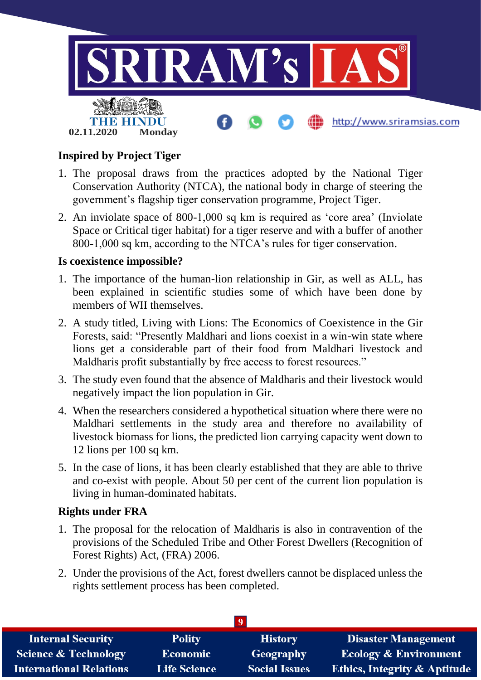

# **Inspired by Project Tiger**

- 1. The proposal draws from the practices adopted by the National Tiger Conservation Authority (NTCA), the national body in charge of steering the government's flagship tiger conservation programme, Project Tiger.
- 2. An inviolate space of 800-1,000 sq km is required as 'core area' (Inviolate Space or Critical tiger habitat) for a tiger reserve and with a buffer of another 800-1,000 sq km, according to the NTCA's rules for tiger conservation.

### **Is coexistence impossible?**

- 1. The importance of the human-lion relationship in Gir, as well as ALL, has been explained in scientific studies some of which have been done by members of WII themselves.
- 2. A study titled, Living with Lions: The Economics of Coexistence in the Gir Forests, said: "Presently Maldhari and lions coexist in a win-win state where lions get a considerable part of their food from Maldhari livestock and Maldharis profit substantially by free access to forest resources."
- 3. The study even found that the absence of Maldharis and their livestock would negatively impact the lion population in Gir.
- 4. When the researchers considered a hypothetical situation where there were no Maldhari settlements in the study area and therefore no availability of livestock biomass for lions, the predicted lion carrying capacity went down to 12 lions per 100 sq km.
- 5. In the case of lions, it has been clearly established that they are able to thrive and co-exist with people. About 50 per cent of the current lion population is living in human-dominated habitats.

# **Rights under FRA**

- 1. The proposal for the relocation of Maldharis is also in contravention of the provisions of the Scheduled Tribe and Other Forest Dwellers (Recognition of Forest Rights) Act, (FRA) 2006.
- 2. Under the provisions of the Act, forest dwellers cannot be displaced unless the rights settlement process has been completed.

| <b>Disaster Management</b><br><b>Internal Security</b><br><b>Polity</b><br><b>History</b> |                     |                      |                                         |  |  |  |
|-------------------------------------------------------------------------------------------|---------------------|----------------------|-----------------------------------------|--|--|--|
| <b>Science &amp; Technology</b>                                                           | Economic            | Geography            | <b>Ecology &amp; Environment</b>        |  |  |  |
| <b>International Relations</b>                                                            | <b>Life Science</b> | <b>Social Issues</b> | <b>Ethics, Integrity &amp; Aptitude</b> |  |  |  |